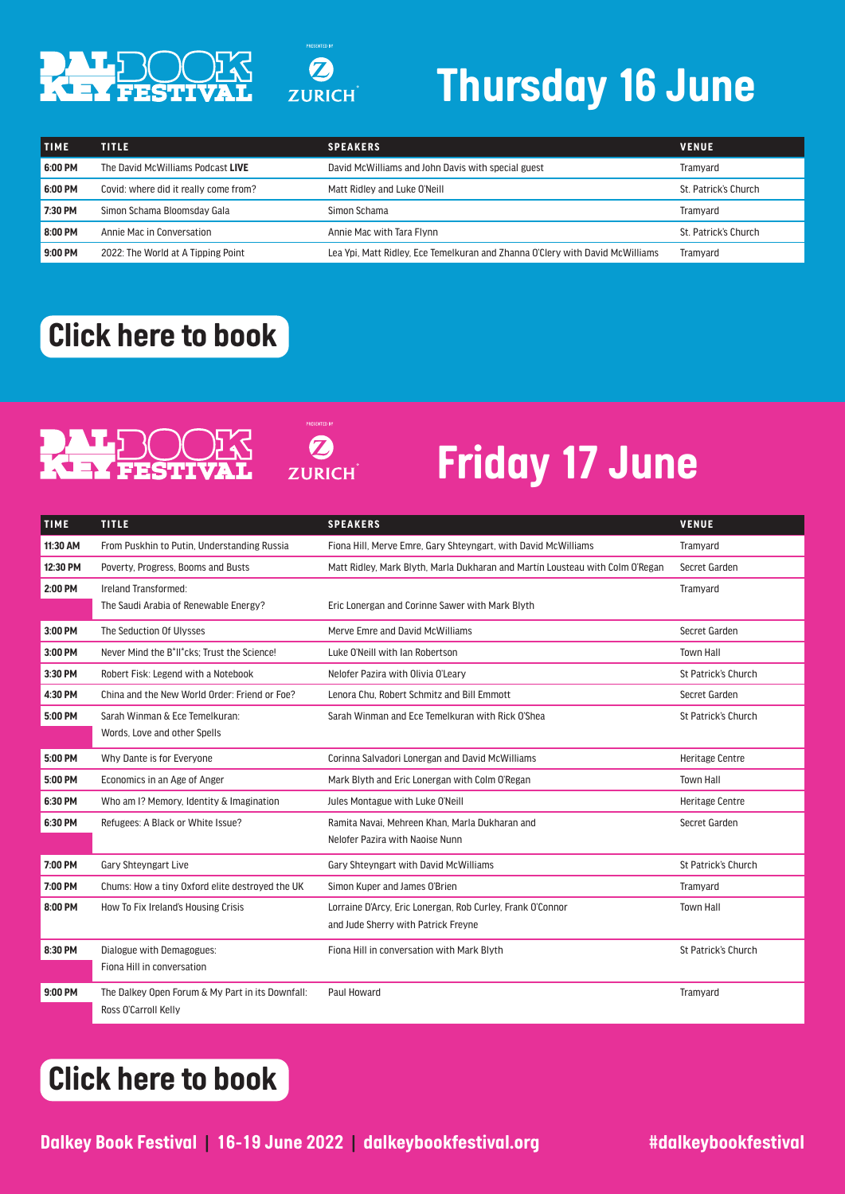

# *Thursday 16 June*

| <b>TIME</b> | <b>TITLE</b>                          | <b>SPEAKERS</b>                                                               | <b>VENUE</b>         |
|-------------|---------------------------------------|-------------------------------------------------------------------------------|----------------------|
| 6:00 PM     | The David McWilliams Podcast LIVE     | David McWilliams and John Davis with special guest                            | Tramvard             |
| 6:00 PM     | Covid: where did it really come from? | Matt Ridley and Luke O'Neill                                                  | St. Patrick's Church |
| 7:30 PM     | Simon Schama Bloomsday Gala           | Simon Schama                                                                  | Tramvard             |
| 8:00 PM     | Annie Mac in Conversation             | Annie Mac with Tara Flynn                                                     | St. Patrick's Church |
| 9:00 PM     | 2022: The World at A Tipping Point    | Lea Ypi, Matt Ridley, Ece Temelkuran and Zhanna O'Clery with David McWilliams | Tramyard             |

#### *[Click here to book](https://dalkeybookfestival.ticketsolve.com/shows)*

# PALE

**ZURICH** 

 $\boldsymbol{\Omega}$ 

**ZURICH** 

## *Friday 17 June*

| <b>TIME</b> | <b>TITLE</b>                                                          | <b>SPEAKERS</b>                                                               | <b>VENUE</b>           |
|-------------|-----------------------------------------------------------------------|-------------------------------------------------------------------------------|------------------------|
| 11:30 AM    | From Puskhin to Putin, Understanding Russia                           | Fiona Hill, Merve Emre, Gary Shteyngart, with David McWilliams                | Tramvard               |
| 12:30 PM    | Poverty, Progress, Booms and Busts                                    | Matt Ridley, Mark Blyth, Marla Dukharan and Martín Lousteau with Colm O'Regan | Secret Garden          |
| 2:00 PM     | Ireland Transformed:                                                  |                                                                               | Tramyard               |
|             | The Saudi Arabia of Renewable Energy?                                 | Eric Lonergan and Corinne Sawer with Mark Blyth                               |                        |
| 3:00 PM     | The Seduction Of Ulysses                                              | Merve Emre and David McWilliams                                               | Secret Garden          |
| 3:00 PM     | Never Mind the B <sup>*</sup> II <sup>*</sup> cks: Trust the Science! | Luke O'Neill with Ian Robertson                                               | <b>Town Hall</b>       |
| 3:30 PM     | Robert Fisk: Legend with a Notebook                                   | Nelofer Pazira with Olivia O'Leary                                            | St Patrick's Church    |
| 4:30 PM     | China and the New World Order: Friend or Foe?                         | Lenora Chu. Robert Schmitz and Bill Emmott                                    | Secret Garden          |
| 5:00 PM     | Sarah Winman & Ece Temelkuran:                                        | Sarah Winman and Ece Temelkuran with Rick O'Shea                              | St Patrick's Church    |
|             | Words, Love and other Spells                                          |                                                                               |                        |
| 5:00 PM     | Why Dante is for Everyone                                             | Corinna Salvadori Lonergan and David McWilliams                               | <b>Heritage Centre</b> |
| 5:00 PM     | Economics in an Age of Anger                                          | Mark Blyth and Eric Lonergan with Colm O'Regan                                | <b>Town Hall</b>       |
| 6:30 PM     | Who am I? Memory, Identity & Imagination                              | Jules Montague with Luke O'Neill                                              | <b>Heritage Centre</b> |
| 6:30 PM     | Refugees: A Black or White Issue?                                     | Ramita Navai, Mehreen Khan, Marla Dukharan and                                | Secret Garden          |
|             |                                                                       | Nelofer Pazira with Naoise Nunn                                               |                        |
| 7:00 PM     | <b>Gary Shtevngart Live</b>                                           | Gary Shteyngart with David McWilliams                                         | St Patrick's Church    |
| 7:00 PM     | Chums: How a tiny Oxford elite destroyed the UK                       | Simon Kuper and James O'Brien                                                 | Tramyard               |
| 8:00 PM     | How To Fix Ireland's Housing Crisis                                   | Lorraine D'Arcy, Eric Lonergan, Rob Curley, Frank O'Connor                    | <b>Town Hall</b>       |
|             |                                                                       | and Jude Sherry with Patrick Freyne                                           |                        |
| 8:30 PM     | Dialogue with Demagogues:                                             | Fiona Hill in conversation with Mark Blyth                                    | St Patrick's Church    |
|             | Fiona Hill in conversation                                            |                                                                               |                        |
| 9:00 PM     | The Dalkey Open Forum & My Part in its Downfall:                      | Paul Howard                                                                   | Tramyard               |
|             | Ross O'Carroll Kelly                                                  |                                                                               |                        |

### *[Click here to book](https://dalkeybookfestival.ticketsolve.com/shows)*

**Dalkey Book Festival | 16-19 June 2022 | dalkeybookfestival.org #dalkeybookfestival**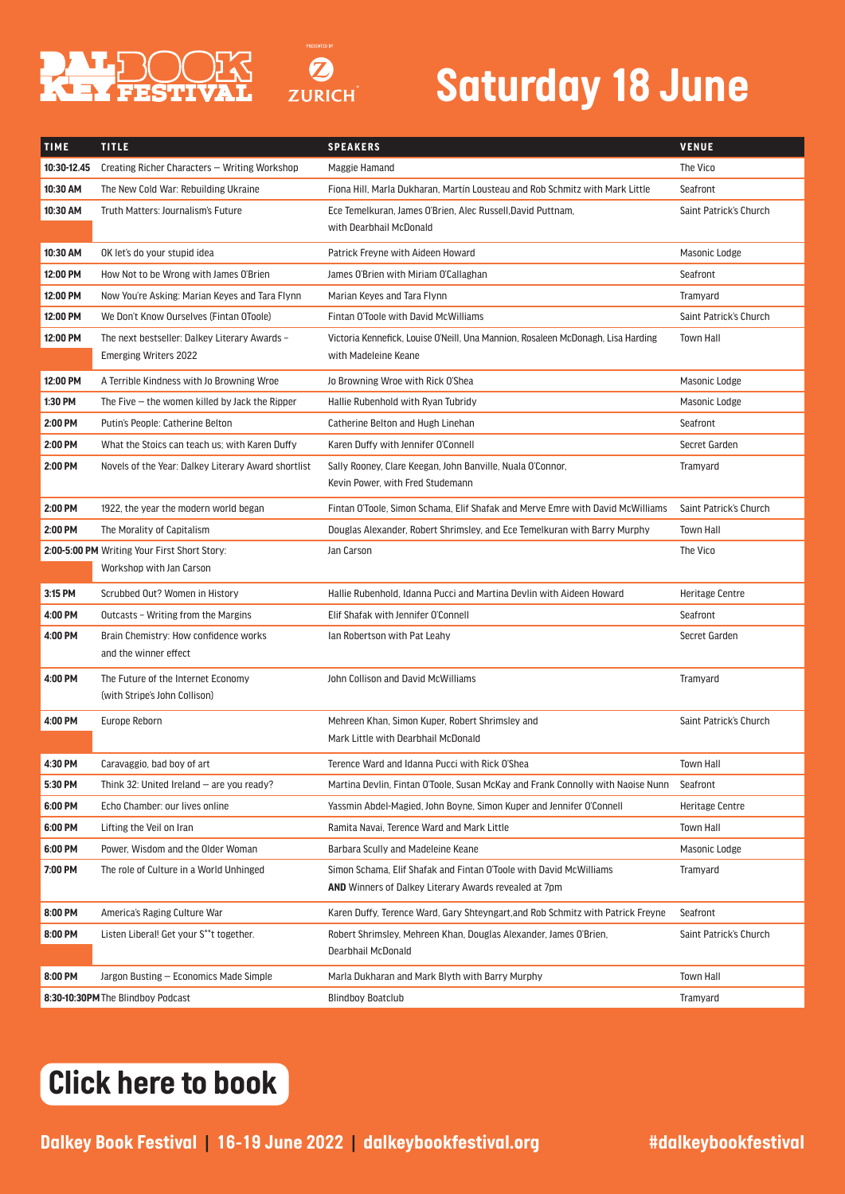



| <b>TIME</b> | <b>TITLE</b>                                                   | <b>SPEAKERS</b>                                                                                                                    | <b>VENUE</b>           |
|-------------|----------------------------------------------------------------|------------------------------------------------------------------------------------------------------------------------------------|------------------------|
| 10:30-12.45 | Creating Richer Characters - Writing Workshop                  | Maggie Hamand                                                                                                                      | The Vico               |
| 10:30 AM    | The New Cold War: Rebuilding Ukraine                           | Fiona Hill, Marla Dukharan, Martín Lousteau and Rob Schmitz with Mark Little                                                       | Seafront               |
| 10:30 AM    | Truth Matters: Journalism's Future                             | Ece Temelkuran, James O'Brien, Alec Russell.David Puttnam.                                                                         | Saint Patrick's Church |
|             |                                                                | with Dearbhail McDonald                                                                                                            |                        |
| 10:30 AM    | OK let's do your stupid idea                                   | Patrick Freyne with Aideen Howard                                                                                                  | Masonic Lodge          |
| 12:00 PM    | How Not to be Wrong with James O'Brien                         | James O'Brien with Miriam O'Callaghan                                                                                              | Seafront               |
| 12:00 PM    | Now You're Asking: Marian Keyes and Tara Flynn                 | Marian Keyes and Tara Flynn                                                                                                        | Tramyard               |
| 12:00 PM    | We Don't Know Ourselves (Fintan OToole)                        | Fintan O'Toole with David McWilliams                                                                                               | Saint Patrick's Church |
| 12:00 PM    | The next bestseller: Dalkey Literary Awards -                  | Victoria Kennefick, Louise O'Neill, Una Mannion, Rosaleen McDonagh, Lisa Harding                                                   | <b>Town Hall</b>       |
|             | <b>Emerging Writers 2022</b>                                   | with Madeleine Keane                                                                                                               |                        |
| 12:00 PM    | A Terrible Kindness with Jo Browning Wroe                      | Jo Browning Wroe with Rick O'Shea                                                                                                  | Masonic Lodge          |
| 1:30 PM     | The Five $-$ the women killed by Jack the Ripper               | Hallie Rubenhold with Ryan Tubridy                                                                                                 | Masonic Lodge          |
| 2:00 PM     | Putin's People: Catherine Belton                               | Catherine Belton and Hugh Linehan                                                                                                  | Seafront               |
| 2:00 PM     | What the Stoics can teach us; with Karen Duffy                 | Karen Duffy with Jennifer O'Connell                                                                                                | Secret Garden          |
| 2:00 PM     | Novels of the Year: Dalkey Literary Award shortlist            | Sally Rooney, Clare Keegan, John Banville, Nuala O'Connor,<br>Kevin Power, with Fred Studemann                                     | Tramyard               |
| 2:00 PM     | 1922, the year the modern world began                          | Fintan O'Toole, Simon Schama, Elif Shafak and Merve Emre with David McWilliams                                                     | Saint Patrick's Church |
| 2:00 PM     | The Morality of Capitalism                                     | Douglas Alexander, Robert Shrimsley, and Ece Temelkuran with Barry Murphy                                                          | <b>Town Hall</b>       |
|             | 2:00-5:00 PM Writing Your First Short Story:                   | Jan Carson                                                                                                                         | The Vico               |
|             | Workshop with Jan Carson                                       |                                                                                                                                    |                        |
| 3:15 PM     | Scrubbed Out? Women in History                                 | Hallie Rubenhold, Idanna Pucci and Martina Devlin with Aideen Howard                                                               | <b>Heritage Centre</b> |
| 4:00 PM     | Outcasts - Writing from the Margins                            | Elif Shafak with Jennifer O'Connell                                                                                                | Seafront               |
| 4:00 PM     | Brain Chemistry: How confidence works<br>and the winner effect | Ian Robertson with Pat Leahy                                                                                                       | Secret Garden          |
| 4:00 PM     | The Future of the Internet Economy                             | John Collison and David McWilliams                                                                                                 | Tramyard               |
|             | (with Stripe's John Collison)                                  |                                                                                                                                    |                        |
| 4:00 PM     | Europe Reborn                                                  | Mehreen Khan, Simon Kuper, Robert Shrimsley and                                                                                    | Saint Patrick's Church |
|             |                                                                | Mark Little with Dearbhail McDonald                                                                                                |                        |
| 4:30 PM     | Caravaggio, bad boy of art                                     | Terence Ward and Idanna Pucci with Rick O'Shea                                                                                     | <b>Town Hall</b>       |
| 5:30 PM     | Think 32: United Ireland – are you ready?                      | Martina Devlin, Fintan O'Toole, Susan McKay and Frank Connolly with Naoise Nunn                                                    | Seafront               |
| 6:00 PM     | Echo Chamber: our lives online                                 | Yassmin Abdel-Magied, John Boyne, Simon Kuper and Jennifer O'Connell                                                               | <b>Heritage Centre</b> |
| 6:00 PM     | Lifting the Veil on Iran                                       | Ramita Navai, Terence Ward and Mark Little                                                                                         | <b>Town Hall</b>       |
| 6:00 PM     | Power, Wisdom and the Older Woman                              | Barbara Scully and Madeleine Keane                                                                                                 | Masonic Lodge          |
| 7:00 PM     | The role of Culture in a World Unhinged                        | Simon Schama, Elif Shafak and Fintan O'Toole with David McWilliams<br><b>AND</b> Winners of Dalkey Literary Awards revealed at 7pm | Tramvard               |
| 8:00 PM     | America's Raging Culture War                                   | Karen Duffy, Terence Ward, Gary Shteyngart, and Rob Schmitz with Patrick Freyne                                                    | Seafront               |
| 8:00 PM     | Listen Liberal! Get your S**t together.                        | Robert Shrimsley, Mehreen Khan, Douglas Alexander, James O'Brien,<br>Dearbhail McDonald                                            | Saint Patrick's Church |
| 8:00 PM     | Jargon Busting – Economics Made Simple                         | Marla Dukharan and Mark Blyth with Barry Murphy                                                                                    | <b>Town Hall</b>       |
|             | 8:30-10:30PM The Blindboy Podcast                              | <b>Blindboy Boatclub</b>                                                                                                           | Tramyard               |

#### *[Click here to book](https://dalkeybookfestival.ticketsolve.com/shows)*

Dalkey Book Festival | 16-19 June 2022 | dalkeybookfestival.org **#dalkeybookfestival**